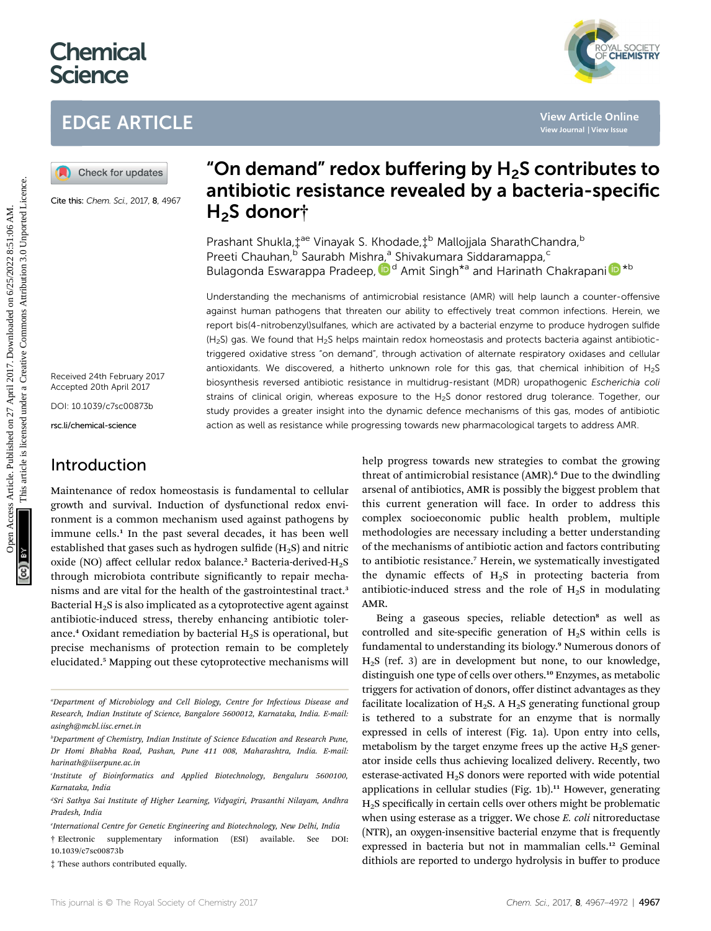# **Chemical Science**

# EDGE ARTICLE



Cite this: Chem. Sci., 2017, 8, 4967

Received 24th February 2017 Accepted 20th April 2017

DOI: 10.1039/c7sc00873b

rsc.li/chemical-science

# Introduction

Maintenance of redox homeostasis is fundamental to cellular growth and survival. Induction of dysfunctional redox environment is a common mechanism used against pathogens by immune cells.<sup>1</sup> In the past several decades, it has been well established that gases such as hydrogen sulfide  $(H<sub>2</sub>S)$  and nitric oxide (NO) affect cellular redox balance.<sup>2</sup> Bacteria-derived-H<sub>2</sub>S through microbiota contribute significantly to repair mechanisms and are vital for the health of the gastrointestinal tract.<sup>3</sup> Bacterial  $H_2S$  is also implicated as a cytoprotective agent against antibiotic-induced stress, thereby enhancing antibiotic tolerance.<sup>4</sup> Oxidant remediation by bacterial  $H_2S$  is operational, but precise mechanisms of protection remain to be completely elucidated.<sup>5</sup> Mapping out these cytoprotective mechanisms will

e International Centre for Genetic Engineering and Biotechnology, New Delhi, India

# "On demand" redox buffering by  $H<sub>2</sub>S$  contributes to antibiotic resistance revealed by a bacteria-specific H<sub>2</sub>S donort

Prashant Shukla,  $\ddagger^{ae}$  Vinayak S. Khodade,  $\ddagger^{b}$  Mallojjala SharathChandra,  $^{b}$ Preeti Chauhan,<sup>b</sup> Saurabh Mishra,<sup>a</sup> Shivakumara Siddaramappa,<sup>c</sup> Bulagonda Eswarappa Pradeep[,](http://orcid.org/0000-0001-8022-8168) D<sup>d</sup> Am[i](http://orcid.org/0000-0002-7267-0906)t Singh<sup>\*a</sup> and Harinath Chakrapani D<sup>\*b</sup>

Understanding the mechanisms of antimicrobial resistance (AMR) will help launch a counter-offensive against human pathogens that threaten our ability to effectively treat common infections. Herein, we report bis(4-nitrobenzyl)sulfanes, which are activated by a bacterial enzyme to produce hydrogen sulfide  $(H<sub>2</sub>S)$  gas. We found that  $H<sub>2</sub>S$  helps maintain redox homeostasis and protects bacteria against antibiotictriggered oxidative stress "on demand", through activation of alternate respiratory oxidases and cellular antioxidants. We discovered, a hitherto unknown role for this gas, that chemical inhibition of  $H_2S$ biosynthesis reversed antibiotic resistance in multidrug-resistant (MDR) uropathogenic Escherichia coli strains of clinical origin, whereas exposure to the H<sub>2</sub>S donor restored drug tolerance. Together, our study provides a greater insight into the dynamic defence mechanisms of this gas, modes of antibiotic action as well as resistance while progressing towards new pharmacological targets to address AMR. **EDGE ARTICLE**<br> **(a)** Check for updates<br> **(a)** Check for updates<br> **(a)** Check for updates<br> **(a)** Check for updates<br> **(a)** Check for updates<br> **(a)**<br> **(a)** Check for updates<br> **(a)**<br> **(a)**<br> **(a)**<br> **(a)**<br> **(a)**<br> **(a)**<br> **(a)**<br>

help progress towards new strategies to combat the growing threat of antimicrobial resistance (AMR).<sup>6</sup> Due to the dwindling arsenal of antibiotics, AMR is possibly the biggest problem that this current generation will face. In order to address this complex socioeconomic public health problem, multiple methodologies are necessary including a better understanding of the mechanisms of antibiotic action and factors contributing to antibiotic resistance.<sup>7</sup> Herein, we systematically investigated the dynamic effects of  $H_2S$  in protecting bacteria from antibiotic-induced stress and the role of  $H_2S$  in modulating AMR.

Being a gaseous species, reliable detection<sup>8</sup> as well as controlled and site-specific generation of  $H_2S$  within cells is fundamental to understanding its biology.<sup>9</sup> Numerous donors of H2S (ref. 3) are in development but none, to our knowledge, distinguish one type of cells over others.<sup>10</sup> Enzymes, as metabolic triggers for activation of donors, offer distinct advantages as they facilitate localization of  $H_2S$ . A  $H_2S$  generating functional group is tethered to a substrate for an enzyme that is normally expressed in cells of interest (Fig. 1a). Upon entry into cells, metabolism by the target enzyme frees up the active  $H_2S$  generator inside cells thus achieving localized delivery. Recently, two esterase-activated  $H_2S$  donors were reported with wide potential applications in cellular studies (Fig.  $1b$ ).<sup>11</sup> However, generating  $H<sub>2</sub>S$  specifically in certain cells over others might be problematic when using esterase as a trigger. We chose E. coli nitroreductase (NTR), an oxygen-insensitive bacterial enzyme that is frequently expressed in bacteria but not in mammalian cells.<sup>12</sup> Geminal dithiols are reported to undergo hydrolysis in buffer to produce



a Department of Microbiology and Cell Biology, Centre for Infectious Disease and Research, Indian Institute of Science, Bangalore 5600012, Karnataka, India. E-mail: asingh@mcbl.iisc.ernet.in

b Department of Chemistry, Indian Institute of Science Education and Research Pune, Dr Homi Bhabha Road, Pashan, Pune 411 008, Maharashtra, India. E-mail: harinath@iiserpune.ac.in

Institute of Bioinformatics and Applied Biotechnology, Bengaluru 5600100, Karnataka, India

<sup>&</sup>lt;sup>a</sup>Sri Sathya Sai Institute of Higher Learning, Vidyagiri, Prasanthi Nilayam, Andhra Pradesh, India

<sup>†</sup> Electronic supplementary information (ESI) available. See DOI: 10.1039/c7sc00873b

<sup>‡</sup> These authors contributed equally.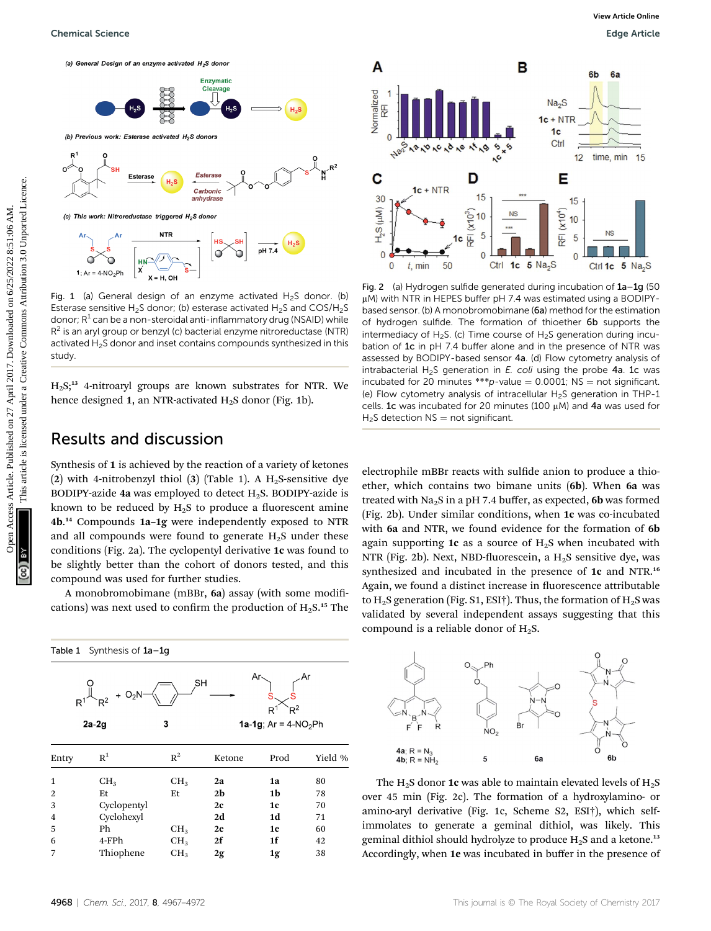



Fig. 1 (a) General design of an enzyme activated  $H_2S$  donor. (b) Esterase sensitive H<sub>2</sub>S donor; (b) esterase activated H<sub>2</sub>S and COS/H<sub>2</sub>S donor;  $R^1$  can be a non-steroidal anti-inflammatory drug (NSAID) while  $R<sup>2</sup>$  is an aryl group or benzyl (c) bacterial enzyme nitroreductase (NTR) activated H<sub>2</sub>S donor and inset contains compounds synthesized in this study.

H2S;<sup>13</sup> 4-nitroaryl groups are known substrates for NTR. We hence designed 1, an NTR-activated  $H_2S$  donor (Fig. 1b).

#### Results and discussion

Synthesis of 1 is achieved by the reaction of a variety of ketones (2) with 4-nitrobenzyl thiol (3) (Table 1). A  $H<sub>2</sub>S$ -sensitive dye BODIPY-azide 4a was employed to detect  $H_2S$ . BODIPY-azide is known to be reduced by  $H_2S$  to produce a fluorescent amine 4b. <sup>14</sup> Compounds 1a–1g were independently exposed to NTR and all compounds were found to generate  $H<sub>2</sub>S$  under these conditions (Fig. 2a). The cyclopentyl derivative 1c was found to be slightly better than the cohort of donors tested, and this compound was used for further studies.

A monobromobimane (mBBr, 6a) assay (with some modifications) was next used to confirm the production of  $H_2S$ .<sup>15</sup> The

| Synthesis of 1a-1g<br>Table 1 |                            |                 |                |                                                   |         |
|-------------------------------|----------------------------|-----------------|----------------|---------------------------------------------------|---------|
| R                             | $O_2N$<br>$R^2$<br>$2a-2g$ | 3               | SН             | Ar<br>$R^2$<br>R<br><b>1a-1g</b> ; $Ar = 4-NO2Ph$ |         |
| Entry                         | $R^1$                      | $R^2$           | Ketone         | Prod                                              | Yield % |
| 1                             | CH <sub>3</sub>            | CH <sub>3</sub> | 2a             | 1a                                                | 80      |
| 2                             | Et                         | Et              | 2 <sub>b</sub> | 1b                                                | 78      |
| 3                             | Cyclopentyl                |                 | 2c             | 1c                                                | 70      |
| 4                             | Cyclohexyl                 |                 | 2d             | 1d                                                | 71      |
| 5                             | Ph                         | CH <sub>3</sub> | 2e             | 1e                                                | 60      |
| 6                             | 4-FPh                      | CH <sub>3</sub> | 2f             | 1f                                                | 42      |
| 7                             | Thiophene                  | CH <sub>3</sub> | 2g             | 1g                                                | 38      |



Fig. 2 (a) Hydrogen sulfide generated during incubation of 1a–1g (50 uM) with NTR in HEPES buffer pH 7.4 was estimated using a BODIPYbased sensor. (b) A monobromobimane (6a) method for the estimation of hydrogen sulfide. The formation of thioether 6b supports the intermediacy of H<sub>2</sub>S. (c) Time course of H<sub>2</sub>S generation during incubation of 1c in pH 7.4 buffer alone and in the presence of NTR was assessed by BODIPY-based sensor 4a. (d) Flow cytometry analysis of intrabacterial H<sub>2</sub>S generation in *E. coli* using the probe 4a. 1c was incubated for 20 minutes \*\*\*p-value =  $0.0001$ ; NS = not significant. (e) Flow cytometry analysis of intracellular H<sub>2</sub>S generation in THP-1 cells. 1c was incubated for 20 minutes (100  $\mu$ M) and 4a was used for  $H<sub>2</sub>S$  detection NS = not significant.

electrophile mBBr reacts with sulfide anion to produce a thioether, which contains two bimane units (6b). When 6a was treated with  $Na<sub>2</sub>S$  in a pH 7.4 buffer, as expected, 6b was formed (Fig. 2b). Under similar conditions, when 1c was co-incubated with 6a and NTR, we found evidence for the formation of 6b again supporting 1c as a source of  $H<sub>2</sub>S$  when incubated with NTR (Fig. 2b). Next, NBD-fluorescein, a  $H_2S$  sensitive dye, was synthesized and incubated in the presence of 1c and NTR.<sup>16</sup> Again, we found a distinct increase in fluorescence attributable to  $H_2S$  generation (Fig. S1, ESI†). Thus, the formation of  $H_2S$  was validated by several independent assays suggesting that this compound is a reliable donor of  $H_2S$ .



The  $H_2S$  donor 1c was able to maintain elevated levels of  $H_2S$ over 45 min (Fig. 2c). The formation of a hydroxylamino- or amino-aryl derivative (Fig. 1c, Scheme S2, ESI†), which selfimmolates to generate a geminal dithiol, was likely. This geminal dithiol should hydrolyze to produce  $H_2S$  and a ketone.<sup>13</sup> Accordingly, when 1e was incubated in buffer in the presence of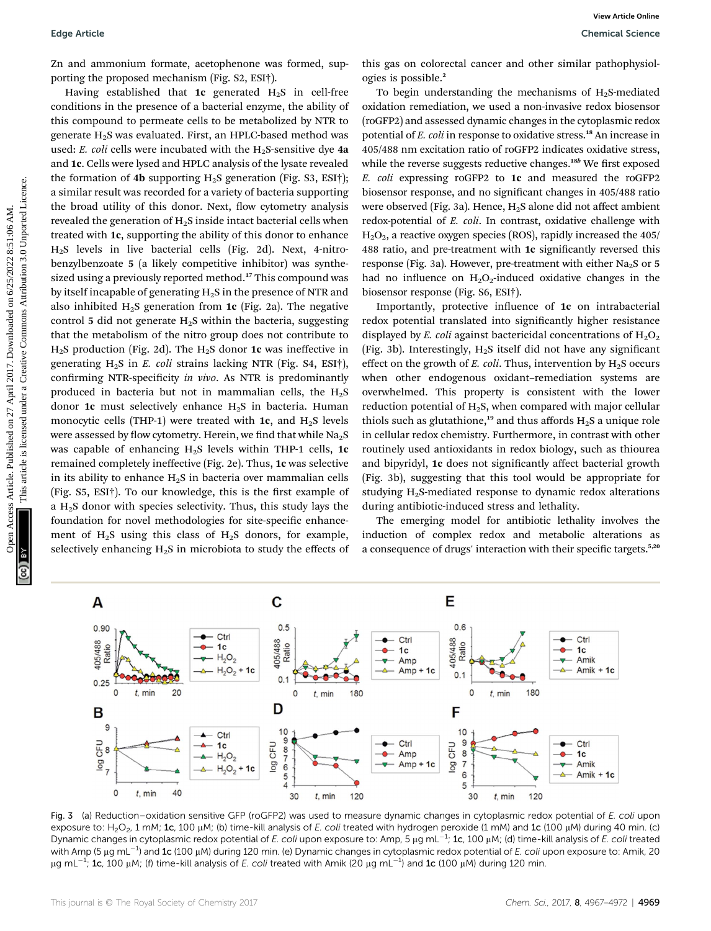Zn and ammonium formate, acetophenone was formed, supporting the proposed mechanism (Fig. S2, ESI†).

Having established that 1c generated  $H_2S$  in cell-free conditions in the presence of a bacterial enzyme, the ability of this compound to permeate cells to be metabolized by NTR to generate  $H_2S$  was evaluated. First, an HPLC-based method was used: E. coli cells were incubated with the  $H<sub>2</sub>S$ -sensitive dye 4a and 1c. Cells were lysed and HPLC analysis of the lysate revealed the formation of 4b supporting  $H_2S$  generation (Fig. S3, ESI†); a similar result was recorded for a variety of bacteria supporting the broad utility of this donor. Next, flow cytometry analysis revealed the generation of  $H<sub>2</sub>S$  inside intact bacterial cells when treated with 1c, supporting the ability of this donor to enhance H2S levels in live bacterial cells (Fig. 2d). Next, 4-nitrobenzylbenzoate 5 (a likely competitive inhibitor) was synthesized using a previously reported method.<sup>17</sup> This compound was by itself incapable of generating  $H_2S$  in the presence of NTR and also inhibited  $H_2S$  generation from 1c (Fig. 2a). The negative control 5 did not generate  $H_2S$  within the bacteria, suggesting that the metabolism of the nitro group does not contribute to  $H<sub>2</sub>S$  production (Fig. 2d). The  $H<sub>2</sub>S$  donor 1c was ineffective in generating  $H_2S$  in E. coli strains lacking NTR (Fig. S4, ESI†), confirming NTR-specificity in vivo. As NTR is predominantly produced in bacteria but not in mammalian cells, the  $H_2S$ donor 1c must selectively enhance  $H_2S$  in bacteria. Human monocytic cells (THP-1) were treated with 1c, and  $H_2S$  levels were assessed by flow cytometry. Herein, we find that while  $Na<sub>2</sub>S$ was capable of enhancing  $H_2S$  levels within THP-1 cells, 1c remained completely ineffective (Fig. 2e). Thus, 1c was selective in its ability to enhance  $H_2S$  in bacteria over mammalian cells (Fig.  $S5$ ,  $ESI<sup>+</sup>$ ). To our knowledge, this is the first example of a  $H<sub>2</sub>S$  donor with species selectivity. Thus, this study lays the foundation for novel methodologies for site-specific enhancement of  $H_2S$  using this class of  $H_2S$  donors, for example, selectively enhancing  $H_2S$  in microbiota to study the effects of Equision is a maximum forminal, anceledned on 40 Amelion and the system on the system of the system of the system of the system of the system of the system of the system of the system of the system of the system of the sy

this gas on colorectal cancer and other similar pathophysiologies is possible.<sup>2</sup>

To begin understanding the mechanisms of  $H<sub>2</sub>S$ -mediated oxidation remediation, we used a non-invasive redox biosensor (roGFP2) and assessed dynamic changes in the cytoplasmic redox potential of E. coli in response to oxidative stress.<sup>18</sup> An increase in 405/488 nm excitation ratio of roGFP2 indicates oxidative stress, while the reverse suggests reductive changes.<sup>18b</sup> We first exposed E. coli expressing roGFP2 to 1c and measured the roGFP2 biosensor response, and no significant changes in 405/488 ratio were observed (Fig. 3a). Hence,  $H_2S$  alone did not affect ambient redox-potential of E. coli. In contrast, oxidative challenge with  $H<sub>2</sub>O<sub>2</sub>$ , a reactive oxygen species (ROS), rapidly increased the 405/ 488 ratio, and pre-treatment with 1c significantly reversed this response (Fig. 3a). However, pre-treatment with either Na<sub>2</sub>S or 5 had no influence on  $H_2O_2$ -induced oxidative changes in the biosensor response (Fig. S6, ESI†).

Importantly, protective influence of 1c on intrabacterial redox potential translated into significantly higher resistance displayed by E. coli against bactericidal concentrations of  $H_2O_2$ (Fig. 3b). Interestingly,  $H_2S$  itself did not have any significant effect on the growth of E. coli. Thus, intervention by  $H_2S$  occurs when other endogenous oxidant–remediation systems are overwhelmed. This property is consistent with the lower reduction potential of  $H_2S$ , when compared with major cellular thiols such as glutathione,<sup>19</sup> and thus affords  $H_2S$  a unique role in cellular redox chemistry. Furthermore, in contrast with other routinely used antioxidants in redox biology, such as thiourea and bipyridyl, 1c does not significantly affect bacterial growth (Fig. 3b), suggesting that this tool would be appropriate for studying  $H_2$ S-mediated response to dynamic redox alterations during antibiotic-induced stress and lethality.

The emerging model for antibiotic lethality involves the induction of complex redox and metabolic alterations as a consequence of drugs' interaction with their specific targets.<sup>5,20</sup>



Fig. 3 (a) Reduction–oxidation sensitive GFP (roGFP2) was used to measure dynamic changes in cytoplasmic redox potential of E. coli upon exposure to: H<sub>2</sub>O<sub>2</sub>, 1 mM; 1c, 100 µM; (b) time-kill analysis of E. coli treated with hydrogen peroxide (1 mM) and 1c (100 µM) during 40 min. (c) Dynamic changes in cytoplasmic redox potential of E. coli upon exposure to: Amp, 5  $\mu$ g mL<sup>-1</sup>; **1c**, 100  $\mu$ M; (d) time-kill analysis of E. coli treated with Amp (5  $\mu$ g mL $^{-1}$ ) and 1c (100  $\mu$ M) during 120 min. (e) Dynamic changes in cytoplasmic redox potential of *E. coli* upon exposure to: Amik, 20  $\mu$ g mL $^{-1}$ ; 1c, 100  $\mu$ M; (f) time-kill analysis of *E. coli* treated with Amik (20  $\mu$ g mL $^{-1}$ ) and 1c (100  $\mu$ M) during 120 min.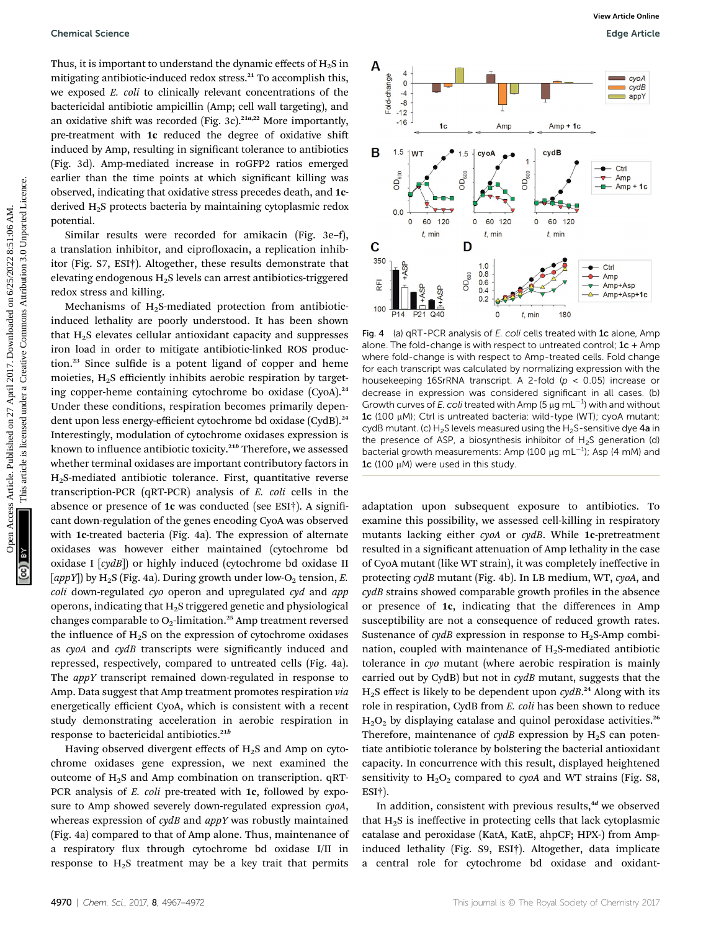Thus, it is important to understand the dynamic effects of  $H_2S$  in mitigating antibiotic-induced redox stress.<sup>21</sup> To accomplish this, we exposed E. coli to clinically relevant concentrations of the bactericidal antibiotic ampicillin (Amp; cell wall targeting), and an oxidative shift was recorded (Fig. 3c).<sup>21a,22</sup> More importantly, pre-treatment with 1c reduced the degree of oxidative shift induced by Amp, resulting in significant tolerance to antibiotics (Fig. 3d). Amp-mediated increase in roGFP2 ratios emerged earlier than the time points at which significant killing was observed, indicating that oxidative stress precedes death, and 1cderived H2S protects bacteria by maintaining cytoplasmic redox potential.

Similar results were recorded for amikacin (Fig. 3e–f), a translation inhibitor, and ciprofloxacin, a replication inhibitor (Fig. S7, ESI†). Altogether, these results demonstrate that elevating endogenous H2S levels can arrest antibiotics-triggered redox stress and killing.

Mechanisms of  $H_2S$ -mediated protection from antibioticinduced lethality are poorly understood. It has been shown that  $H<sub>2</sub>S$  elevates cellular antioxidant capacity and suppresses iron load in order to mitigate antibiotic-linked ROS production.<sup>23</sup> Since sulfide is a potent ligand of copper and heme moieties, H2S efficiently inhibits aerobic respiration by targeting copper-heme containing cytochrome bo oxidase (CyoA).<sup>24</sup> Under these conditions, respiration becomes primarily dependent upon less energy-efficient cytochrome bd oxidase (CydB).<sup>24</sup> Interestingly, modulation of cytochrome oxidases expression is known to influence antibiotic toxicity.<sup>21b</sup> Therefore, we assessed whether terminal oxidases are important contributory factors in H2S-mediated antibiotic tolerance. First, quantitative reverse transcription-PCR (qRT-PCR) analysis of E. coli cells in the absence or presence of 1c was conducted (see ESI<sup>†</sup>). A significant down-regulation of the genes encoding CyoA was observed with 1c-treated bacteria (Fig. 4a). The expression of alternate oxidases was however either maintained (cytochrome bd oxidase I [cydB]) or highly induced (cytochrome bd oxidase II [appY]) by H<sub>2</sub>S (Fig. 4a). During growth under low-O<sub>2</sub> tension, E. coli down-regulated cyo operon and upregulated cyd and app operons, indicating that H2S triggered genetic and physiological changes comparable to  $O_2$ -limitation.<sup>25</sup> Amp treatment reversed the influence of  $H_2S$  on the expression of cytochrome oxidases as cyoA and cydB transcripts were significantly induced and repressed, respectively, compared to untreated cells (Fig. 4a). The *appY* transcript remained down-regulated in response to Amp. Data suggest that Amp treatment promotes respiration via energetically efficient CyoA, which is consistent with a recent study demonstrating acceleration in aerobic respiration in response to bactericidal antibiotics.<sup>21b</sup>

Having observed divergent effects of  $H_2S$  and Amp on cytochrome oxidases gene expression, we next examined the outcome of  $H_2S$  and Amp combination on transcription. qRT-PCR analysis of *E. coli* pre-treated with **1c**, followed by exposure to Amp showed severely down-regulated expression  $\alpha y$ oA, whereas expression of cydB and appY was robustly maintained (Fig. 4a) compared to that of Amp alone. Thus, maintenance of a respiratory flux through cytochrome bd oxidase I/II in response to  $H_2S$  treatment may be a key trait that permits



Fig. 4 (a) qRT-PCR analysis of E. coli cells treated with 1c alone, Amp alone. The fold-change is with respect to untreated control;  $1c +$  Amp where fold-change is with respect to Amp-treated cells. Fold change for each transcript was calculated by normalizing expression with the housekeeping 16SrRNA transcript. A 2-fold ( $p < 0.05$ ) increase or decrease in expression was considered significant in all cases. (b) Growth curves of E. coli treated with Amp (5  $\mu$ g mL<sup>-1</sup>) with and without 1c (100 μM); Ctrl is untreated bacteria: wild-type (WT); cyoA mutant; cydB mutant. (c)  $H_2S$  levels measured using the  $H_2S$ -sensitive dye 4a in the presence of ASP, a biosynthesis inhibitor of  $H<sub>2</sub>S$  generation (d) bacterial growth measurements: Amp (100  $\mu$ g mL<sup>-1</sup>); Asp (4 mM) and 1c (100  $\mu$ M) were used in this study.

adaptation upon subsequent exposure to antibiotics. To examine this possibility, we assessed cell-killing in respiratory mutants lacking either cyoA or cydB. While 1c-pretreatment resulted in a signicant attenuation of Amp lethality in the case of CyoA mutant (like WT strain), it was completely ineffective in protecting cydB mutant (Fig. 4b). In LB medium, WT, cyoA, and  $\gamma$ dB strains showed comparable growth profiles in the absence or presence of 1c, indicating that the differences in Amp susceptibility are not a consequence of reduced growth rates. Sustenance of  $cydB$  expression in response to  $H_2S$ -Amp combination, coupled with maintenance of  $H_2S$ -mediated antibiotic tolerance in cyo mutant (where aerobic respiration is mainly carried out by CydB) but not in  $cydB$  mutant, suggests that the  $H_2S$  effect is likely to be dependent upon  $cydB.<sup>24</sup>$  Along with its role in respiration, CydB from E. coli has been shown to reduce  $H<sub>2</sub>O<sub>2</sub>$  by displaying catalase and quinol peroxidase activities.<sup>26</sup> Therefore, maintenance of  $\gamma dB$  expression by H<sub>2</sub>S can potentiate antibiotic tolerance by bolstering the bacterial antioxidant capacity. In concurrence with this result, displayed heightened sensitivity to  $H_2O_2$  compared to cyoA and WT strains (Fig. S8, ESI†).

In addition, consistent with previous results, $4d$  we observed that  $H_2S$  is ineffective in protecting cells that lack cytoplasmic catalase and peroxidase (KatA, KatE, ahpCF; HPX-) from Ampinduced lethality (Fig. S9, ESI†). Altogether, data implicate a central role for cytochrome bd oxidase and oxidant-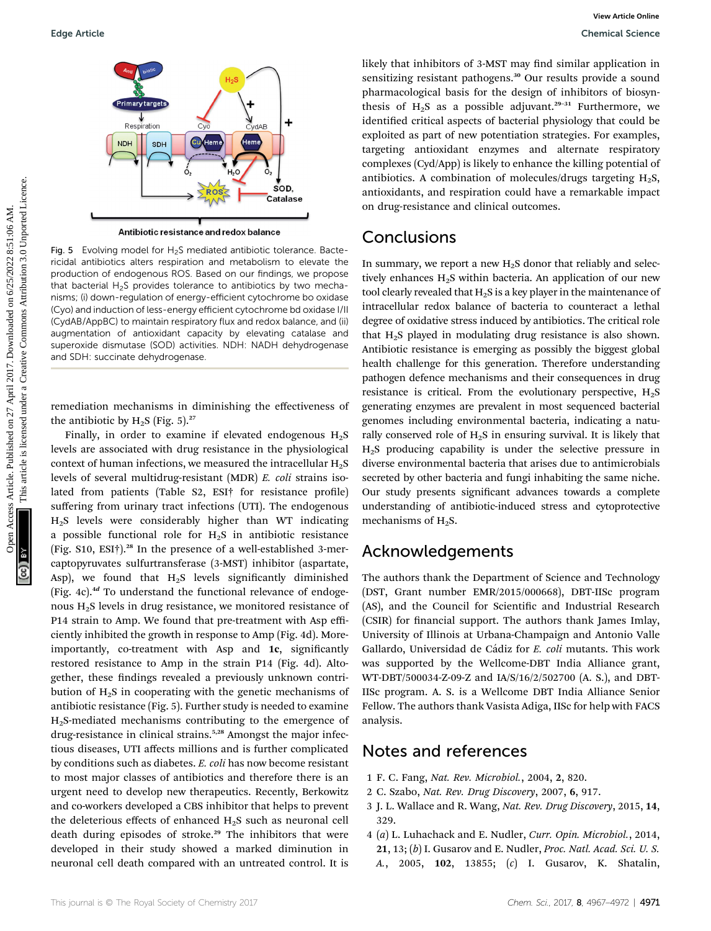

Fig. 5 Evolving model for  $H_2S$  mediated antibiotic tolerance. Bactericidal antibiotics alters respiration and metabolism to elevate the production of endogenous ROS. Based on our findings, we propose that bacterial H<sub>2</sub>S provides tolerance to antibiotics by two mechanisms; (i) down-regulation of energy-efficient cytochrome bo oxidase (Cyo) and induction of less-energy efficient cytochrome bd oxidase I/II (CydAB/AppBC) to maintain respiratory flux and redox balance, and (ii) augmentation of antioxidant capacity by elevating catalase and superoxide dismutase (SOD) activities. NDH: NADH dehydrogenase and SDH: succinate dehydrogenase.

remediation mechanisms in diminishing the effectiveness of the antibiotic by  $H_2S$  (Fig. 5).<sup>27</sup>

Finally, in order to examine if elevated endogenous  $H_2S$ levels are associated with drug resistance in the physiological context of human infections, we measured the intracellular  $H_2S$ levels of several multidrug-resistant (MDR) E. coli strains isolated from patients (Table  $S2$ ,  $ESI<sup>+</sup>$  for resistance profile) suffering from urinary tract infections (UTI). The endogenous  $H<sub>2</sub>S$  levels were considerably higher than WT indicating a possible functional role for  $H_2S$  in antibiotic resistance (Fig. S10, ESI†).<sup>28</sup> In the presence of a well-established 3-mercaptopyruvates sulfurtransferase (3-MST) inhibitor (aspartate, Asp), we found that  $H_2S$  levels significantly diminished (Fig. 4c). $4d$  To understand the functional relevance of endogenous H2S levels in drug resistance, we monitored resistance of P14 strain to Amp. We found that pre-treatment with Asp efficiently inhibited the growth in response to Amp (Fig. 4d). Moreimportantly, co-treatment with Asp and 1c, significantly restored resistance to Amp in the strain P14 (Fig. 4d). Altogether, these findings revealed a previously unknown contribution of H2S in cooperating with the genetic mechanisms of antibiotic resistance (Fig. 5). Further study is needed to examine H2S-mediated mechanisms contributing to the emergence of drug-resistance in clinical strains.<sup>5,28</sup> Amongst the major infectious diseases, UTI affects millions and is further complicated by conditions such as diabetes. E. coli has now become resistant to most major classes of antibiotics and therefore there is an urgent need to develop new therapeutics. Recently, Berkowitz and co-workers developed a CBS inhibitor that helps to prevent the deleterious effects of enhanced H<sub>2</sub>S such as neuronal cell death during episodes of stroke.<sup>29</sup> The inhibitors that were developed in their study showed a marked diminution in neuronal cell death compared with an untreated control. It is

likely that inhibitors of 3-MST may find similar application in sensitizing resistant pathogens.<sup>30</sup> Our results provide a sound pharmacological basis for the design of inhibitors of biosynthesis of  $H_2S$  as a possible adjuvant.<sup>29-31</sup> Furthermore, we identified critical aspects of bacterial physiology that could be exploited as part of new potentiation strategies. For examples, targeting antioxidant enzymes and alternate respiratory complexes (Cyd/App) is likely to enhance the killing potential of antibiotics. A combination of molecules/drugs targeting  $H_2S$ , antioxidants, and respiration could have a remarkable impact on drug-resistance and clinical outcomes.

### **Conclusions**

In summary, we report a new  $H_2S$  donor that reliably and selectively enhances  $H_2S$  within bacteria. An application of our new tool clearly revealed that  $H_2S$  is a key player in the maintenance of intracellular redox balance of bacteria to counteract a lethal degree of oxidative stress induced by antibiotics. The critical role that  $H_2S$  played in modulating drug resistance is also shown. Antibiotic resistance is emerging as possibly the biggest global health challenge for this generation. Therefore understanding pathogen defence mechanisms and their consequences in drug resistance is critical. From the evolutionary perspective,  $H_2S$ generating enzymes are prevalent in most sequenced bacterial genomes including environmental bacteria, indicating a naturally conserved role of  $H_2S$  in ensuring survival. It is likely that H2S producing capability is under the selective pressure in diverse environmental bacteria that arises due to antimicrobials secreted by other bacteria and fungi inhabiting the same niche. Our study presents significant advances towards a complete understanding of antibiotic-induced stress and cytoprotective mechanisms of H<sub>2</sub>S. Edge Article<br>
Commission Commission (Commission Commission Commission Commission Commission Commission Commission Commission Commission Commission Commission Commission Commission Commission Commission Commission Commissi

## Acknowledgements

The authors thank the Department of Science and Technology (DST, Grant number EMR/2015/000668), DBT-IISc program (AS), and the Council for Scientific and Industrial Research (CSIR) for financial support. The authors thank James Imlay, University of Illinois at Urbana-Champaign and Antonio Valle Gallardo, Universidad de Cádiz for E. coli mutants. This work was supported by the Wellcome-DBT India Alliance grant, WT-DBT/500034-Z-09-Z and IA/S/16/2/502700 (A. S.), and DBT-IISc program. A. S. is a Wellcome DBT India Alliance Senior Fellow. The authors thank Vasista Adiga, IISc for help with FACS analysis.

### Notes and references

- 1 F. C. Fang, Nat. Rev. Microbiol., 2004, 2, 820.
- 2 C. Szabo, Nat. Rev. Drug Discovery, 2007, 6, 917.
- 3 J. L. Wallace and R. Wang, Nat. Rev. Drug Discovery, 2015, 14, 329.
- 4 (a) L. Luhachack and E. Nudler, Curr. Opin. Microbiol., 2014, 21, 13; (b) I. Gusarov and E. Nudler, Proc. Natl. Acad. Sci. U. S. A., 2005, 102, 13855; (c) I. Gusarov, K. Shatalin,